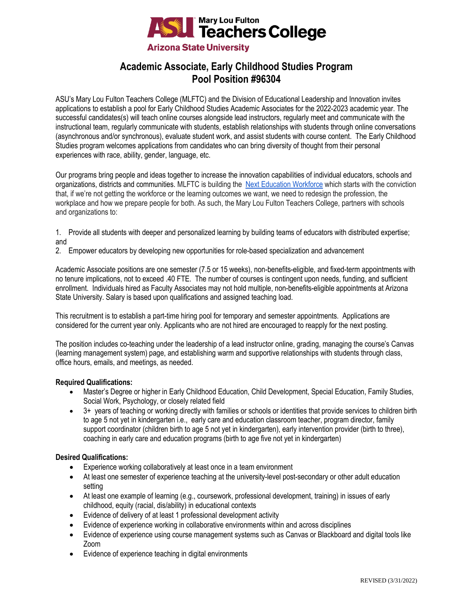

# **Academic Associate, Early Childhood Studies Program Pool Position #96304**

ASU's Mary Lou Fulton Teachers College (MLFTC) and the Division of Educational Leadership and Innovation invites applications to establish a pool for Early Childhood Studies Academic Associates for the 2022-2023 academic year. The successful candidates(s) will teach online courses alongside lead instructors, regularly meet and communicate with the instructional team, regularly communicate with students, establish relationships with students through online conversations (asynchronous and/or synchronous), evaluate student work, and assist students with course content. The Early Childhood Studies program welcomes applications from candidates who can bring diversity of thought from their personal experiences with race, ability, gender, language, etc.

Our programs bring people and ideas together to increase the innovation capabilities of individual educators, schools and organizations, districts and communities. MLFTC is building the [Next Education Workforce](https://workforce.education.asu.edu/?utm_source=mlftc&utm_medium=redirect&utm_campaign=top_nav) which starts with the conviction that, if we're not getting the workforce or the learning outcomes we want, we need to redesign the profession, the workplace and how we prepare people for both. As such, the Mary Lou Fulton Teachers College, partners with schools and organizations to:

1. Provide all students with deeper and personalized learning by building teams of educators with distributed expertise; and

2. Empower educators by developing new opportunities for role-based specialization and advancement

Academic Associate positions are one semester (7.5 or 15 weeks), non-benefits-eligible, and fixed-term appointments with no tenure implications, not to exceed .40 FTE. The number of courses is contingent upon needs, funding, and sufficient enrollment. Individuals hired as Faculty Associates may not hold multiple, non-benefits-eligible appointments at Arizona State University. Salary is based upon qualifications and assigned teaching load.

This recruitment is to establish a part-time hiring pool for temporary and semester appointments. Applications are considered for the current year only. Applicants who are not hired are encouraged to reapply for the next posting.

The position includes co-teaching under the leadership of a lead instructor online, grading, managing the course's Canvas (learning management system) page, and establishing warm and supportive relationships with students through class, office hours, emails, and meetings, as needed.

## **Required Qualifications:**

- Master's Degree or higher in Early Childhood Education, Child Development, Special Education, Family Studies, Social Work, Psychology, or closely related field
- 3+ years of teaching or working directly with families or schools or identities that provide services to children birth to age 5 not yet in kindergarten i.e., early care and education classroom teacher, program director, family support coordinator (children birth to age 5 not yet in kindergarten), early intervention provider (birth to three), coaching in early care and education programs (birth to age five not yet in kindergarten)

## **Desired Qualifications:**

- Experience working collaboratively at least once in a team environment
- At least one semester of experience teaching at the university-level post-secondary or other adult education setting
- At least one example of learning (e.g., coursework, professional development, training) in issues of early childhood, equity (racial, dis/ability) in educational contexts
- Evidence of delivery of at least 1 professional development activity
- Evidence of experience working in collaborative environments within and across disciplines
- Evidence of experience using course management systems such as Canvas or Blackboard and digital tools like Zoom
- Evidence of experience teaching in digital environments